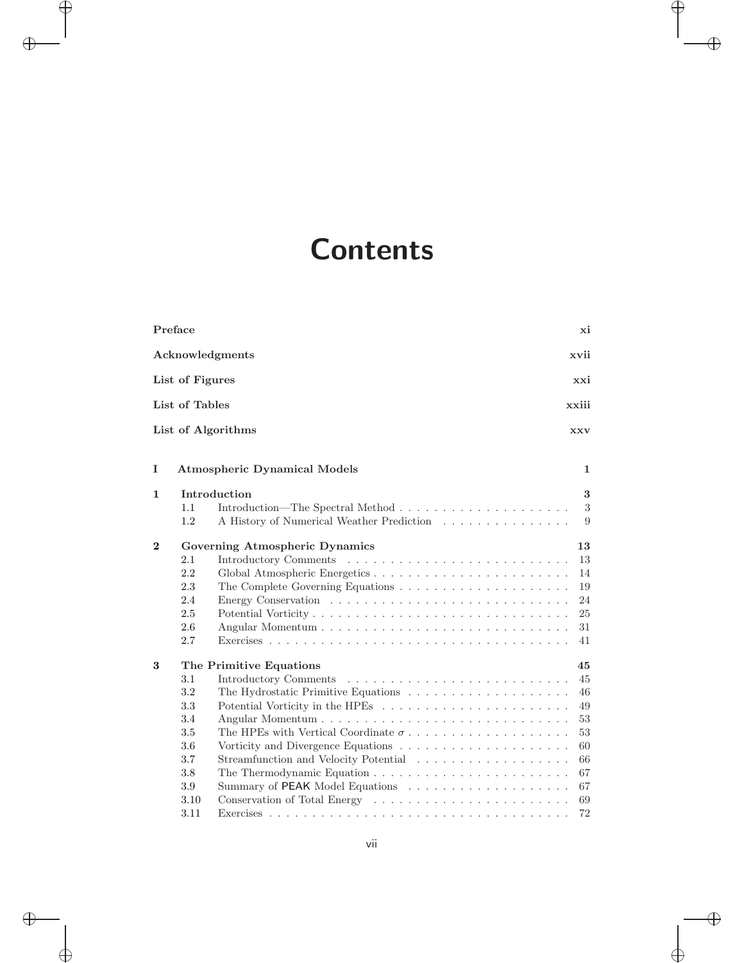## **Contents**

| Preface  |                                                                             |                                                                       | хi                                                                   |
|----------|-----------------------------------------------------------------------------|-----------------------------------------------------------------------|----------------------------------------------------------------------|
|          |                                                                             | Acknowledgments                                                       | xvii                                                                 |
|          | List of Figures                                                             |                                                                       | xxi                                                                  |
|          | List of Tables                                                              |                                                                       | xxiii                                                                |
|          |                                                                             | List of Algorithms                                                    | <b>XXV</b>                                                           |
| I        |                                                                             | <b>Atmospheric Dynamical Models</b>                                   | 1                                                                    |
| 1        | 1.1                                                                         | Introduction                                                          | 3<br>$\sqrt{3}$                                                      |
|          | 1.2                                                                         | A History of Numerical Weather Prediction                             | 9                                                                    |
| $\bf{2}$ | 2.1<br>2.2<br>2.3<br>2.4<br>2.5<br>2.6<br>2.7                               | Governing Atmospheric Dynamics                                        | 13<br>13<br>14<br>19<br>24<br>25<br>31<br>41                         |
| 3        | 3.1<br>3.2<br>3.3<br>3.4<br>3.5<br>3.6<br>3.7<br>3.8<br>3.9<br>3.10<br>3.11 | The Primitive Equations<br>The HPEs with Vertical Coordinate $\sigma$ | 45<br>45<br>46<br>49<br>53<br>53<br>60<br>66<br>67<br>67<br>69<br>72 |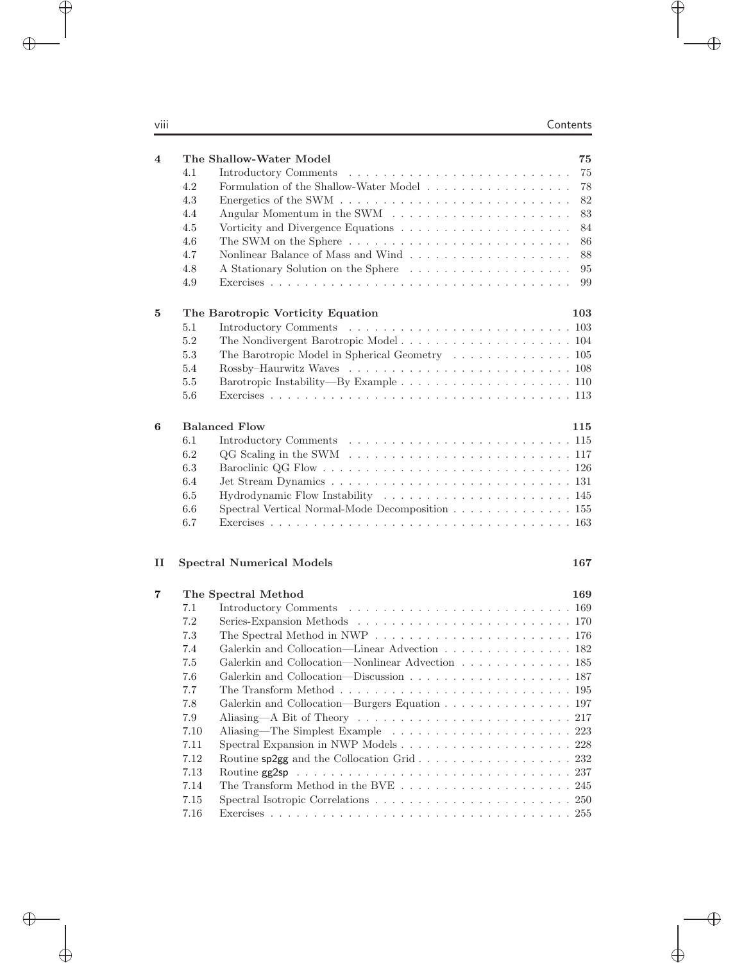| $\overline{\mathbf{4}}$ |         | The Shallow-Water Model<br>75                                                                            |
|-------------------------|---------|----------------------------------------------------------------------------------------------------------|
|                         | 4.1     | 75<br>Introductory Comments                                                                              |
|                         | 4.2     | Formulation of the Shallow-Water Model<br>78                                                             |
|                         | 4.3     | $82\,$<br>Energetics of the SWM $\ldots \ldots \ldots \ldots \ldots \ldots \ldots \ldots \ldots$         |
|                         | 4.4     | 83                                                                                                       |
|                         | 4.5     | 84                                                                                                       |
|                         | 4.6     | 86                                                                                                       |
|                         | 4.7     | 88                                                                                                       |
|                         | 4.8     | A Stationary Solution on the Sphere<br>95                                                                |
|                         | 4.9     | 99                                                                                                       |
| 5                       |         | 103<br>The Barotropic Vorticity Equation                                                                 |
|                         | 5.1     |                                                                                                          |
|                         | $5.2\,$ |                                                                                                          |
|                         | 5.3     | The Barotropic Model in Spherical Geometry 105                                                           |
|                         | 5.4     |                                                                                                          |
|                         | 5.5     |                                                                                                          |
|                         | 5.6     |                                                                                                          |
| $6\phantom{1}6$         |         | <b>Balanced Flow</b><br>115                                                                              |
|                         | 6.1     |                                                                                                          |
|                         | 6.2     | $QG$ Scaling in the SWM $\ldots \ldots \ldots \ldots \ldots \ldots \ldots \ldots \ldots 117$             |
|                         | 6.3     |                                                                                                          |
|                         | 6.4     |                                                                                                          |
|                         | 6.5     |                                                                                                          |
|                         | $6.6\,$ | Spectral Vertical Normal-Mode Decomposition 155                                                          |
|                         | 6.7     |                                                                                                          |
|                         |         |                                                                                                          |
| $\mathbf{I}$            |         | <b>Spectral Numerical Models</b><br>167                                                                  |
| 7                       |         | The Spectral Method<br>169                                                                               |
|                         | 7.1     |                                                                                                          |
|                         | 7.2     |                                                                                                          |
|                         | 7.3     | The Spectral Method in NWP $\dots \dots \dots \dots \dots \dots \dots \dots \dots \dots \dots \dots 176$ |
|                         | 7.4     | Galerkin and Collocation—Linear Advection 182                                                            |
|                         | 7.5     | Galerkin and Collocation—Nonlinear Advection 185                                                         |
|                         | 7.6     |                                                                                                          |
|                         | 7.7     | The Transform Method $\ldots \ldots \ldots \ldots \ldots \ldots \ldots \ldots \ldots \ldots 195$         |
|                         | $7.8\,$ | Galerkin and Collocation—Burgers Equation 197                                                            |
|                         | 7.9     |                                                                                                          |
|                         | 7.10    |                                                                                                          |
|                         | 7.11    |                                                                                                          |
|                         | 7.12    | Routine sp2gg and the Collocation Grid 232                                                               |
|                         | 7.13    |                                                                                                          |
|                         | 7.14    | The Transform Method in the BVE $\ldots \ldots \ldots \ldots \ldots \ldots \ldots 245$                   |
|                         | 7.15    |                                                                                                          |
|                         | 7.16    |                                                                                                          |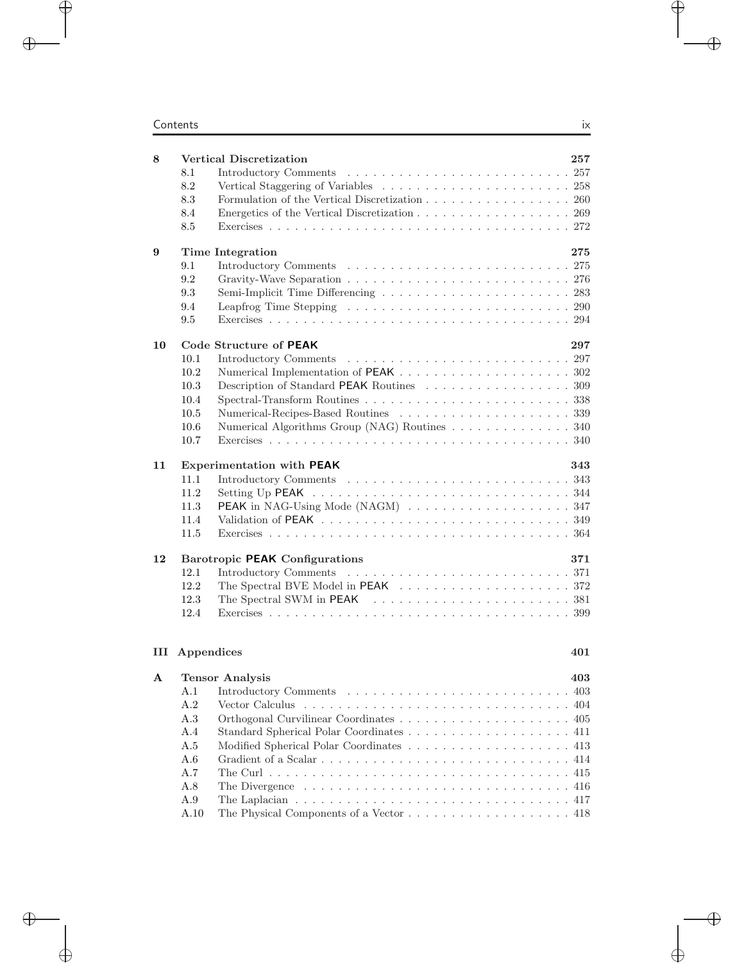## **Contents** ix

| 8  |            | <b>Vertical Discretization</b>                                                               | 257 |
|----|------------|----------------------------------------------------------------------------------------------|-----|
|    | 8.1        |                                                                                              |     |
|    | 8.2        |                                                                                              |     |
|    | 8.3        | Formulation of the Vertical Discretization 260                                               |     |
|    | 8.4        | Energetics of the Vertical Discretization 269                                                |     |
|    | 8.5        |                                                                                              |     |
| 9  |            | Time Integration                                                                             | 275 |
|    | 9.1        |                                                                                              |     |
|    | 9.2        |                                                                                              |     |
|    | 9.3        |                                                                                              |     |
|    | 9.4        |                                                                                              |     |
|    | 9.5        |                                                                                              |     |
| 10 |            | Code Structure of PEAK                                                                       | 297 |
|    | 10.1       |                                                                                              |     |
|    | 10.2       |                                                                                              |     |
|    | 10.3       | Description of Standard PEAK Routines 309                                                    |     |
|    | 10.4       |                                                                                              |     |
|    | 10.5       |                                                                                              |     |
|    | 10.6       | Numerical Algorithms Group (NAG) Routines 340                                                |     |
|    | 10.7       |                                                                                              |     |
|    |            |                                                                                              |     |
| 11 |            | <b>Experimentation with PEAK</b>                                                             | 343 |
|    | 11.1       |                                                                                              |     |
|    | 11.2       |                                                                                              |     |
|    | 11.3       |                                                                                              |     |
|    | 11.4       |                                                                                              |     |
|    | 11.5       |                                                                                              |     |
| 12 |            | <b>Barotropic PEAK Configurations</b>                                                        | 371 |
|    | 12.1       |                                                                                              |     |
|    | 12.2       |                                                                                              |     |
|    | 12.3       |                                                                                              |     |
|    | 12.4       |                                                                                              |     |
| Ш  |            |                                                                                              | 401 |
|    | Appendices |                                                                                              |     |
| А  |            | <b>Tensor Analysis</b>                                                                       | 403 |
|    | A.1        |                                                                                              |     |
|    | A.2        |                                                                                              |     |
|    | A.3        |                                                                                              |     |
|    | A.4        |                                                                                              |     |
|    | A.5        |                                                                                              |     |
|    | A.6        |                                                                                              |     |
|    | A.7        |                                                                                              |     |
|    | A.8        |                                                                                              |     |
|    | A.9        | The Laplacian $\ldots \ldots \ldots \ldots \ldots \ldots \ldots \ldots \ldots \ldots \ldots$ |     |
|    | A.10       |                                                                                              |     |